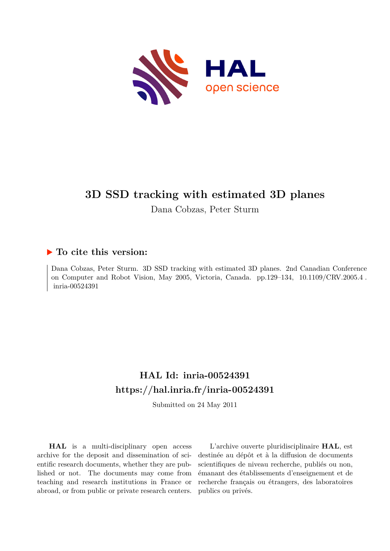

# **3D SSD tracking with estimated 3D planes**

Dana Cobzas, Peter Sturm

# **To cite this version:**

Dana Cobzas, Peter Sturm. 3D SSD tracking with estimated 3D planes. 2nd Canadian Conference on Computer and Robot Vision, May 2005, Victoria, Canada. pp.129–134, 10.1109/CRV.2005.4. inria-00524391

# **HAL Id: inria-00524391 <https://hal.inria.fr/inria-00524391>**

Submitted on 24 May 2011

**HAL** is a multi-disciplinary open access archive for the deposit and dissemination of scientific research documents, whether they are published or not. The documents may come from teaching and research institutions in France or abroad, or from public or private research centers.

L'archive ouverte pluridisciplinaire **HAL**, est destinée au dépôt et à la diffusion de documents scientifiques de niveau recherche, publiés ou non, émanant des établissements d'enseignement et de recherche français ou étrangers, des laboratoires publics ou privés.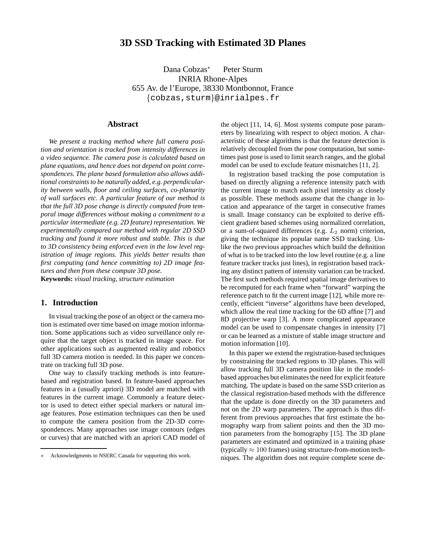# **3D SSD Tracking with Estimated 3D Planes**

Dana Cobzas<sup>∗</sup> Peter Sturm INRIA Rhone-Alpes 655 Av. de l'Europe, 38330 Montbonnot, France {cobzas,sturm}@inrialpes.fr

## **Abstract**

*We present a tracking method where full camera position and orientation is tracked from intensity differences in a video sequence. The camera pose is calculated based on plane equations, and hence does not depend on point correspondences. The plane based formulation also allows additional constraints to be naturally added, e.g. perpendicularity between walls, floor and ceiling surfaces, co-planarity of wall surfaces etc. A particular feature of our method is that the full 3D pose change is directly computed from temporal image differences without making a commitment to a particular intermediate (e.g. 2D feature) representation. We experimentally compared our method with regular 2D SSD tracking and found it more robust and stable. This is due to 3D consistency being enforced even in the low level registration of image regions. This yields better results than first computing (and hence committing to) 2D image features and then from these compute 3D pose.*

**Keywords:** *visual tracking, structure estimation*

### **1. Introduction**

In visual tracking the pose of an object or the camera motion is estimated over time based on image motion information. Some applications such as video surveillance only require that the target object is tracked in image space. For other applications such as augmented reality and robotics full 3D camera motion is needed. In this paper we concentrate on tracking full 3D pose.

One way to classify tracking methods is into featurebased and registration based. In feature-based approaches features in a (usually apriori) 3D model are matched with features in the current image. Commonly a feature detector is used to detect either special markers or natural image features. Pose estimation techniques can then be used to compute the camera position from the 2D-3D correspondences. Many approaches use image contours (edges or curves) that are matched with an apriori CAD model of

the object [11, 14, 6]. Most systems compute pose parameters by linearizing with respect to object motion. A characteristic of these algorithms is that the feature detection is relatively decoupled from the pose computation, but sometimes past pose is used to limit search ranges, and the global model can be used to exclude feature mismatches [11, 2].

In registration based tracking the pose computation is based on directly aligning a reference intensity patch with the current image to match each pixel intensity as closely as possible. These methods assume that the change in location and appearance of the target in consecutive frames is small. Image constancy can be exploited to derive efficient gradient based schemes using normalized correlation, or a sum-of-squared differences (e.g.  $L_2$  norm) criterion, giving the technique its popular name SSD tracking. Unlike the two previous approaches which build the definition of what is to be tracked into the low level routine (e.g. a line feature tracker tracks just lines), in registration based tracking any distinct pattern of intensity variation can be tracked. The first such methods required spatial image derivatives to be recomputed for each frame when "forward" warping the reference patch to fit the current image [12], while more recently, efficient "inverse" algorithms have been developed, which allow the real time tracking for the 6D affine [7] and 8D projective warp [3]. A more complicated appearance model can be used to compensate changes in intensity [7] or can be learned as a mixture of stable image structure and motion information [10].

In this paper we extend the registration-based techniques by constraining the tracked regions to 3D planes. This will allow tracking full 3D camera position like in the modelbased approaches but eliminates the need for explicit feature matching. The update is based on the same SSD criterion as the classical registration-based methods with the difference that the update is done directly on the 3D parameters and not on the 2D warp parameters. The approach is thus different from previous approaches that first estimate the homography warp from salient points and then the 3D motion parameters from the homography [15]. The 3D plane parameters are estimated and optimized in a training phase (typically  $\approx 100$  frames) using structure-from-motion techniques. The algorithm does not require complete scene de-

Acknowledgments to NSERC Canada for supporting this work.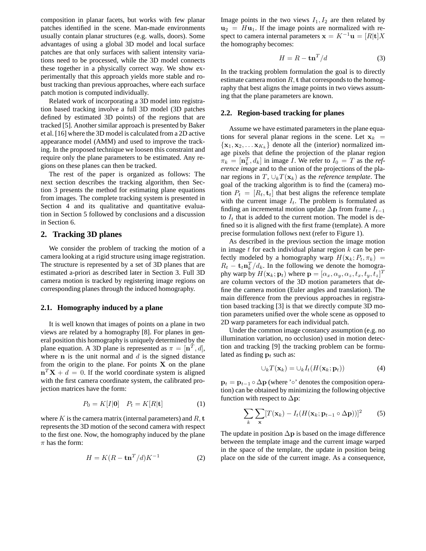composition in planar facets, but works with few planar patches identified in the scene. Man-made environments usually contain planar structures (e.g. walls, doors). Some advantages of using a global 3D model and local surface patches are that only surfaces with salient intensity variations need to be processed, while the 3D model connects these together in a physically correct way. We show experimentally that this approach yields more stable and robust tracking than previous approaches, where each surface patch motion is computed individually.

Related work of incorporating a 3D model into registration based tracking involve a full 3D model (3D patches defined by estimated 3D points) of the regions that are tracked [5]. Another similar approach is presented by Baker et al. [16] where the 3D model is calculated from a 2D active appearance model (AMM) and used to improve the tracking. In the proposed technique we loosen this constraint and require only the plane parameters to be estimated. Any regions on these planes can then be tracked.

The rest of the paper is organized as follows: The next section describes the tracking algorithm, then Section 3 presents the method for estimating plane equations from images. The complete tracking system is presented in Section 4 and its qualitative and quantitative evaluation in Section 5 followed by conclusions and a discussion in Section 6.

#### **2. Tracking 3D planes**

We consider the problem of tracking the motion of a camera looking at a rigid structure using image registration. The structure is represented by a set of 3D planes that are estimated a-priori as described later in Section 3. Full 3D camera motion is tracked by registering image regions on corresponding planes through the induced homography.

#### **2.1. Homography induced by a plane**

It is well known that images of points on a plane in two views are related by a homography [8]. For planes in general position this homography is uniquely determined by the plane equation. A 3D plane is represented as  $\pi = [\mathbf{n}^T, d]$ , where  $n$  is the unit normal and  $d$  is the signed distance from the origin to the plane. For points  $X$  on the plane  $\mathbf{n}^T \mathbf{X} + d = 0$ . If the world coordinate system is aligned with the first camera coordinate system, the calibrated projection matrices have the form:

$$
P_0 = K[I|\mathbf{0}] \quad P_t = K[R|\mathbf{t}] \tag{1}
$$

where K is the camera matrix (internal parameters) and  $R$ , t represents the 3D motion of the second camera with respect to the first one. Now, the homography induced by the plane  $\pi$  has the form:

$$
H = K(R - \mathbf{tn}^T/d)K^{-1}
$$
 (2)

Image points in the two views  $I_1, I_2$  are then related by  $u_2 = Hu_1$ . If the image points are normalized with respect to camera internal parameters  $x = K^{-1}u = [R]t]X$ the homography becomes:

$$
H = R - \mathbf{tn}^T/d \tag{3}
$$

In the tracking problem formulation the goal is to directly estimate camera motion  $R$ , t that corresponds to the homography that best aligns the image points in two views assuming that the plane parameters are known.

#### **2.2. Region-based tracking for planes**

Assume we have estimated parameters in the plane equations for several planar regions in the scene. Let  $x_k$  =  $\{x_1, x_2, \ldots x_{K_k}\}\$  denote all the (interior) normalized image pixels that define the projection of the planar region  $\pi_k = [\mathbf{n}_k^T, d_k]$  in image *I*. We refer to  $I_0 = T$  as the *reference image* and to the union of the projections of the planar regions in T,  $\cup_k T(\mathbf{x}_k)$  as the *reference template*. The goal of the tracking algorithm is to find the (camera) motion  $P_t = [R_t, \mathbf{t}_t]$  that best aligns the reference template with the current image  $I_t$ . The problem is formulated as finding an incremental motion update  $\Delta p$  from frame  $I_{t-1}$ to  $I_t$  that is added to the current motion. The model is defined so it is aligned with the first frame (template). A more precise formulation follows next (refer to Figure 1).

As described in the previous section the image motion in image  $t$  for each individual planar region  $k$  can be perfectly modeled by a homography warp  $H(\mathbf{x}_k; P_t, \pi_k)$  =  $R_t - \mathbf{t}_t \mathbf{n}_k^T / d_k$ . In the following we denote the homography warp by  $H(\mathbf{x}_k; \mathbf{p}_t)$  where  $\mathbf{p} = [\alpha_x, \alpha_y, \alpha_z, t_x, t_y, t_z]^T$ are column vectors of the 3D motion parameters that define the camera motion (Euler angles and translation). The main difference from the previous approaches in registration based tracking [3] is that we directly compute 3D motion parameters unified over the whole scene as opposed to 2D warp parameters for each individual patch.

Under the common image constancy assumption (e.g. no illumination variation, no occlusion) used in motion detection and tracking [9] the tracking problem can be formulated as finding  $\mathbf{p}_t$  such as:

$$
\cup_k T(\mathbf{x}_k) = \cup_k I_t(H(\mathbf{x}_k; \mathbf{p}_t))
$$
(4)

 $\mathbf{p}_t = \mathbf{p}_{t-1} \circ \Delta \mathbf{p}$  (where '∘' denotes the composition operation) can be obtained by minimizing the following objective function with respect to  $\Delta p$ :

$$
\sum_{k} \sum_{\mathbf{x}} [T(\mathbf{x}_k) - I_t(H(\mathbf{x}_k; \mathbf{p}_{t-1} \circ \Delta \mathbf{p}))]^2 \qquad (5)
$$

The update in position  $\Delta p$  is based on the image difference between the template image and the current image warped in the space of the template, the update in position being place on the side of the current image. As a consequence,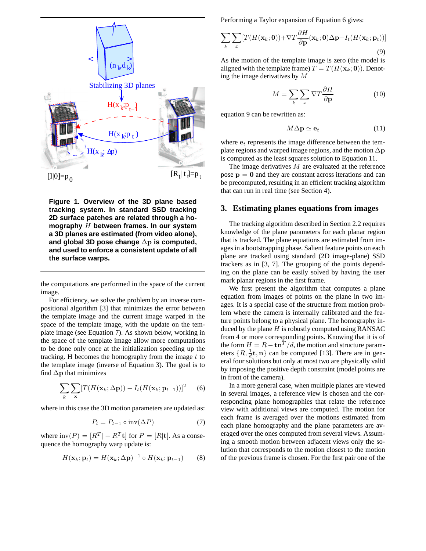

**Figure 1. Overview of the 3D plane based tracking system. In standard SSD tracking 2D surface patches are related through a homography** H **between frames. In our system a 3D planes are estimated (from video alone), and global 3D pose change** ∆p **is computed, and used to enforce a consistent update of all the surface warps.**

the computations are performed in the space of the current image.

For efficiency, we solve the problem by an inverse compositional algorithm [3] that minimizes the error between the template image and the current image warped in the space of the template image, with the update on the template image (see Equation 7). As shown below, working in the space of the template image allow more computations to be done only once at the initialization speeding up the tracking. H becomes the homography from the image  $t$  to the template image (inverse of Equation 3). The goal is to find  $\Delta p$  that minimizes

$$
\sum_{k} \sum_{\mathbf{x}} [T(H(\mathbf{x}_k; \Delta \mathbf{p})) - I_t(H(\mathbf{x}_k; \mathbf{p}_{t-1}))]^2 \quad (6)
$$

where in this case the 3D motion parameters are updated as:

$$
P_t = P_{t-1} \circ inv(\Delta P) \tag{7}
$$

where  $\text{inv}(P) = [R^T - R^T \mathbf{t}]$  for  $P = [R | \mathbf{t}]$ . As a consequence the homography warp update is:

$$
H(\mathbf{x}_k; \mathbf{p}_t) = H(\mathbf{x}_k; \Delta \mathbf{p})^{-1} \circ H(\mathbf{x}_k; \mathbf{p}_{t-1})
$$
 (8)

Performing a Taylor expansion of Equation 6 gives:

$$
\sum_{k} \sum_{x} [T(H(\mathbf{x}_k; \mathbf{0})) + \nabla T \frac{\partial H}{\partial \mathbf{p}}(\mathbf{x}_k; \mathbf{0}) \Delta \mathbf{p} - I_t(H(\mathbf{x}_k; \mathbf{p}_t))]
$$
\n(9)

As the motion of the template image is zero (the model is aligned with the template frame)  $T = T(H(\mathbf{x}_k; \mathbf{0}))$ . Denoting the image derivatives by M

$$
M = \sum_{k} \sum_{x} \nabla T \frac{\partial H}{\partial \mathbf{p}} \tag{10}
$$

equation 9 can be rewritten as:

$$
M\Delta \mathbf{p} \simeq \mathbf{e}_t \tag{11}
$$

where  $e_t$  represents the image difference between the template regions and warped image regions, and the motion  $\Delta p$ is computed as the least squares solution to Equation 11.

The image derivatives  $M$  are evaluated at the reference pose  $p = 0$  and they are constant across iterations and can be precomputed, resulting in an efficient tracking algorithm that can run in real time (see Section 4).

#### **3. Estimating planes equations from images**

The tracking algorithm described in Section 2.2 requires knowledge of the plane parameters for each planar region that is tracked. The plane equations are estimated from images in a bootstrapping phase. Salient feature points on each plane are tracked using standard (2D image-plane) SSD trackers as in [3, 7]. The grouping of the points depending on the plane can be easily solved by having the user mark planar regions in the first frame.

We first present the algorithm that computes a plane equation from images of points on the plane in two images. It is a special case of the structure from motion problem where the camera is internally calibrated and the feature points belong to a physical plane. The homography induced by the plane  $H$  is robustly computed using RANSAC from 4 or more corresponding points. Knowing that it is of the form  $H = R - \text{tn}^{T}/d$ , the motion and structure parameters  $\{R, \frac{1}{d}\}$  $\frac{1}{d}$ **t**, **n**} can be computed [13]. There are in general four solutions but only at most two are physically valid by imposing the positive depth constraint (model points are in front of the camera).

In a more general case, when multiple planes are viewed in several images, a reference view is chosen and the corresponding plane homographies that relate the reference view with additional views are computed. The motion for each frame is averaged over the motions estimated from each plane homography and the plane parameters are averaged over the ones computed from several views. Assuming a smooth motion between adjacent views only the solution that corresponds to the motion closest to the motion of the previous frame is chosen. For the first pair one of the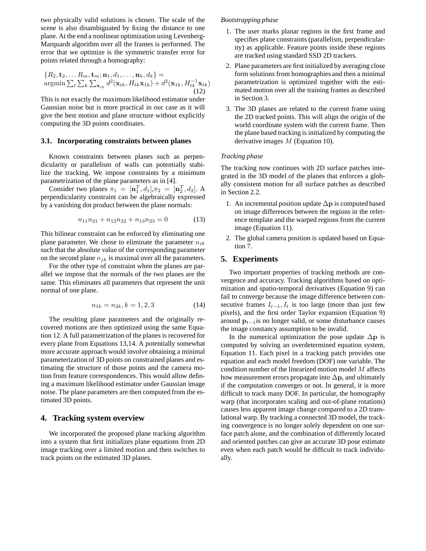two physically valid solutions is chosen. The scale of the scene is also disambiguated by fixing the distance to one plane. At the end a nonlinear optimization using Levenberg-Marquardt algorithm over all the frames is performed. The error that we optimize is the symmetric transfer error for points related through a homography:

$$
\{R_2, \mathbf{t}_2, \dots R_m, \mathbf{t}_m; \mathbf{n}_1, d_1, \dots, \mathbf{n}_k, d_k\} = \underset{\sum_t \sum_k \sum_{\mathbf{x}_{tk}} d^2(\mathbf{x}_{tk}, H_{tk}\mathbf{x}_{1k}) + d^2(\mathbf{x}_{1k}, H_{tk}^{-1}\mathbf{x}_{tk})}{12}}
$$

This is not exactly the maximum likelihood estimator under Gaussian noise but is more practical in our case as it will give the best motion and plane structure without explicitly computing the 3D points coordinates.

#### **3.1. Incorporating constraints between planes**

Known constraints between planes such as perpendicularity or parallelism of walls can potentially stabilize the tracking. We impose constraints by a minimum parametrization of the plane parameters as in [4].

Consider two planes  $\pi_1 = [\mathbf{n}_1^T, d_1], \pi_2 = [\mathbf{n}_2^T, d_2]$ . A perpendicularity constraint can be algebraically expressed by a vanishing dot product between the plane normals:

$$
n_{11}n_{21} + n_{12}n_{22} + n_{13}n_{23} = 0 \tag{13}
$$

This bilinear constraint can be enforced by eliminating one plane parameter. We chose to eliminate the parameter  $n_{ik}$ such that the absolute value of the corresponding parameter on the second plane  $n_{ik}$  is maximal over all the parameters.

For the other type of constraint when the planes are parallel we impose that the normals of the two planes are the same. This eliminates all parameters that represent the unit normal of one plane.

$$
n_{1k} = n_{2k}, k = 1, 2, 3 \tag{14}
$$

The resulting plane parameters and the originally recovered motions are then optimized using the same Equation 12. A full parametrization of the planes is recovered for every plane from Equations 13,14. A potentially somewhat more accurate approach would involve obtaining a minimal parameterization of 3D points on constrained planes and estimating the structure of those points and the camera motion from feature correspondences. This would allow defining a maximum likelihood estimator under Gaussian image noise. The plane parameters are then computed from the estimated 3D points.

## **4. Tracking system overview**

We incorporated the proposed plane tracking algorithm into a system that first initializes plane equations from 2D image tracking over a limited motion and then switches to track points on the estimated 3D planes.

#### *Bootstrapping phase*

- 1. The user marks planar regions in the first frame and specifies plane constraints (parallelism, perpendicularity) as applicable. Feature points inside these regions are tracked using standard SSD 2D trackers.
- 2. Plane parameters are first initialized by averaging close form solutions from homographies and then a minimal parametrization is optimized together with the estimated motion over all the training frames as described in Section 3.
- 3. The 3D planes are related to the current frame using the 2D tracked points. This will align the origin of the world coordinate system with the current frame. Then the plane based tracking is initialized by computing the derivative images M (Equation 10).

#### *Tracking phase*

The tracking now continues with 2D surface patches integrated in the 3D model of the planes that enforces a globally consistent motion for all surface patches as described in Section 2.2.

- 1. An incremental position update  $\Delta p$  is computed based on image differences between the regions in the reference template and the warped regions from the current image (Equation 11).
- 2. The global camera position is updated based on Equation 7.

#### **5. Experiments**

Two important properties of tracking methods are convergence and accuracy. Tracking algorithms based on optimization and spatio-temporal derivatives (Equation 9) can fail to converge because the image difference between consecutive frames  $I_{t-1}, I_t$  is too large (more than just few pixels), and the first order Taylor expansion (Equation 9) around  $p_{t-1}$  is no longer valid, or some disturbance causes the image constancy assumption to be invalid.

In the numerical optimization the pose update  $\Delta p$  is computed by solving an overdetermined equation system, Equation 11. Each pixel in a tracking patch provides one equation and each model freedom (DOF) one variable. The condition number of the linearized motion model M affects how measurement errors propagate into  $\Delta p$ , and ultimately if the computation converges or not. In general, it is more difficult to track many DOF. In particular, the homography warp (that incorporates scaling and out-of-plane rotations) causes less apparent image change compared to a 2D translational warp. By tracking a connected 3D model, the tracking convergence is no longer solely dependent on one surface patch alone, and the combination of differently located and oriented patches can give an accurate 3D pose estimate even when each patch would be difficult to track individually.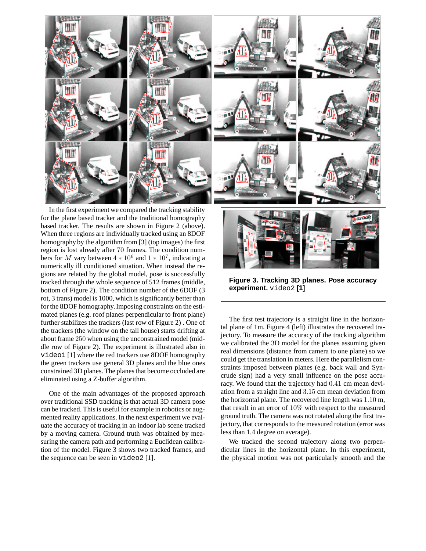

In the first experiment we compared the tracking stability for the plane based tracker and the traditional homography based tracker. The results are shown in Figure 2 (above). When three regions are individually tracked using an 8DOF homography by the algorithm from [3] (top images) the first region is lost already after 70 frames. The condition numbers for M vary between  $4 * 10^6$  and  $1 * 10^7$ , indicating a numerically ill conditioned situation. When instead the regions are related by the global model, pose is successfully tracked through the whole sequence of 512 frames (middle, bottom of Figure 2). The condition number of the 6DOF (3 rot, 3 trans) model is 1000, which is significantly better than for the 8DOF homography.Imposing constraints on the estimated planes (e.g. roof planes perpendicular to front plane) further stabilizes the trackers (last row of Figure 2) . One of the trackers (the window on the tall house) starts drifting at about frame 250 when using the unconstrained model (middle row of Figure 2). The experiment is illustrated also in video1 [1] where the red trackers use 8DOF homography the green trackers use general 3D planes and the blue ones constrained 3D planes. The planes that become occluded are eliminated using a Z-buffer algorithm.

One of the main advantages of the proposed approach over traditional SSD tracking is that actual 3D camera pose can be tracked. This is useful for example in robotics or augmented reality applications. In the next experiment we evaluate the accuracy of tracking in an indoor lab scene tracked by a moving camera. Ground truth was obtained by measuring the camera path and performing a Euclidean calibration of the model. Figure 3 shows two tracked frames, and the sequence can be seen in video2 [1].



**Figure 3. Tracking 3D planes. Pose accuracy experiment.** video2 **[1]**

The first test trajectory is a straight line in the horizontal plane of 1m. Figure 4 (left) illustrates the recovered trajectory. To measure the accuracy of the tracking algorithm we calibrated the 3D model for the planes assuming given real dimensions (distance from camera to one plane) so we could get the translation in meters. Here the parallelism constraints imposed between planes (e.g. back wall and Syncrude sign) had a very small influence on the pose accuracy. We found that the trajectory had 0.41 cm mean deviation from a straight line and 3.15 cm mean deviation from the horizontal plane. The recovered line length was 1.10 m, that result in an error of 10% with respect to the measured ground truth. The camera was not rotated along the first trajectory, that corresponds to the measured rotation (error was less than 1.4 degree on average).

We tracked the second trajectory along two perpendicular lines in the horizontal plane. In this experiment, the physical motion was not particularly smooth and the